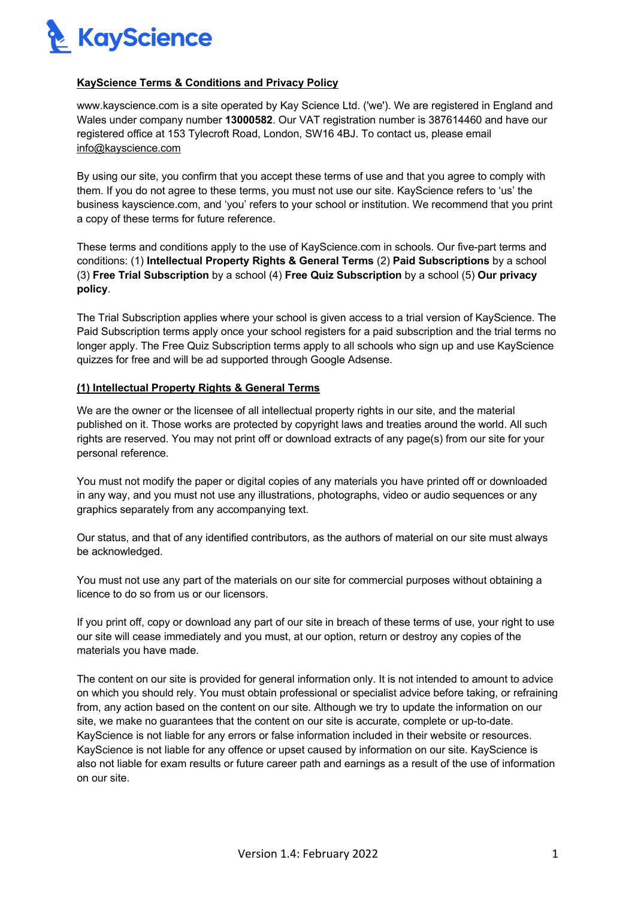

## **KayScience Terms & Conditions and Privacy Policy**

www.kayscience.com is a site operated by Kay Science Ltd. ('we'). We are registered in England and Wales under company number **13000582**. Our VAT registration number is 387614460 and have our registered office at 153 Tylecroft Road, London, SW16 4BJ. To contact us, please email info@kayscience.com

By using our site, you confirm that you accept these terms of use and that you agree to comply with them. If you do not agree to these terms, you must not use our site. KayScience refers to 'us' the business kayscience.com, and 'you' refers to your school or institution. We recommend that you print a copy of these terms for future reference.

These terms and conditions apply to the use of KayScience.com in schools. Our five-part terms and conditions: (1) **Intellectual Property Rights & General Terms** (2) **Paid Subscriptions** by a school (3) **Free Trial Subscription** by a school (4) **Free Quiz Subscription** by a school (5) **Our privacy policy**.

The Trial Subscription applies where your school is given access to a trial version of KayScience. The Paid Subscription terms apply once your school registers for a paid subscription and the trial terms no longer apply. The Free Quiz Subscription terms apply to all schools who sign up and use KayScience quizzes for free and will be ad supported through Google Adsense.

## **(1) Intellectual Property Rights & General Terms**

We are the owner or the licensee of all intellectual property rights in our site, and the material published on it. Those works are protected by copyright laws and treaties around the world. All such rights are reserved. You may not print off or download extracts of any page(s) from our site for your personal reference.

You must not modify the paper or digital copies of any materials you have printed off or downloaded in any way, and you must not use any illustrations, photographs, video or audio sequences or any graphics separately from any accompanying text.

Our status, and that of any identified contributors, as the authors of material on our site must always be acknowledged.

You must not use any part of the materials on our site for commercial purposes without obtaining a licence to do so from us or our licensors.

If you print off, copy or download any part of our site in breach of these terms of use, your right to use our site will cease immediately and you must, at our option, return or destroy any copies of the materials you have made.

The content on our site is provided for general information only. It is not intended to amount to advice on which you should rely. You must obtain professional or specialist advice before taking, or refraining from, any action based on the content on our site. Although we try to update the information on our site, we make no guarantees that the content on our site is accurate, complete or up-to-date. KayScience is not liable for any errors or false information included in their website or resources. KayScience is not liable for any offence or upset caused by information on our site. KayScience is also not liable for exam results or future career path and earnings as a result of the use of information on our site.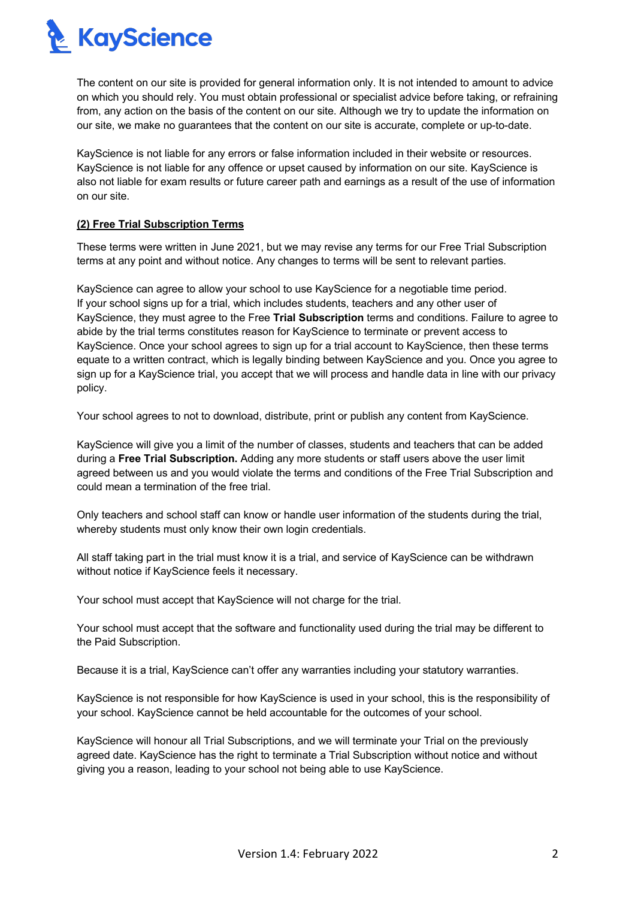**R** KayScience

The content on our site is provided for general information only. It is not intended to amount to advice on which you should rely. You must obtain professional or specialist advice before taking, or refraining from, any action on the basis of the content on our site. Although we try to update the information on our site, we make no guarantees that the content on our site is accurate, complete or up-to-date.

KayScience is not liable for any errors or false information included in their website or resources. KayScience is not liable for any offence or upset caused by information on our site. KayScience is also not liable for exam results or future career path and earnings as a result of the use of information on our site.

# **(2) Free Trial Subscription Terms**

These terms were written in June 2021, but we may revise any terms for our Free Trial Subscription terms at any point and without notice. Any changes to terms will be sent to relevant parties.

KayScience can agree to allow your school to use KayScience for a negotiable time period. If your school signs up for a trial, which includes students, teachers and any other user of KayScience, they must agree to the Free **Trial Subscription** terms and conditions. Failure to agree to abide by the trial terms constitutes reason for KayScience to terminate or prevent access to KayScience. Once your school agrees to sign up for a trial account to KayScience, then these terms equate to a written contract, which is legally binding between KayScience and you. Once you agree to sign up for a KayScience trial, you accept that we will process and handle data in line with our privacy policy.

Your school agrees to not to download, distribute, print or publish any content from KayScience.

KayScience will give you a limit of the number of classes, students and teachers that can be added during a **Free Trial Subscription.** Adding any more students or staff users above the user limit agreed between us and you would violate the terms and conditions of the Free Trial Subscription and could mean a termination of the free trial.

Only teachers and school staff can know or handle user information of the students during the trial, whereby students must only know their own login credentials.

All staff taking part in the trial must know it is a trial, and service of KayScience can be withdrawn without notice if KayScience feels it necessary.

Your school must accept that KayScience will not charge for the trial.

Your school must accept that the software and functionality used during the trial may be different to the Paid Subscription.

Because it is a trial, KayScience can't offer any warranties including your statutory warranties.

KayScience is not responsible for how KayScience is used in your school, this is the responsibility of your school. KayScience cannot be held accountable for the outcomes of your school.

KayScience will honour all Trial Subscriptions, and we will terminate your Trial on the previously agreed date. KayScience has the right to terminate a Trial Subscription without notice and without giving you a reason, leading to your school not being able to use KayScience.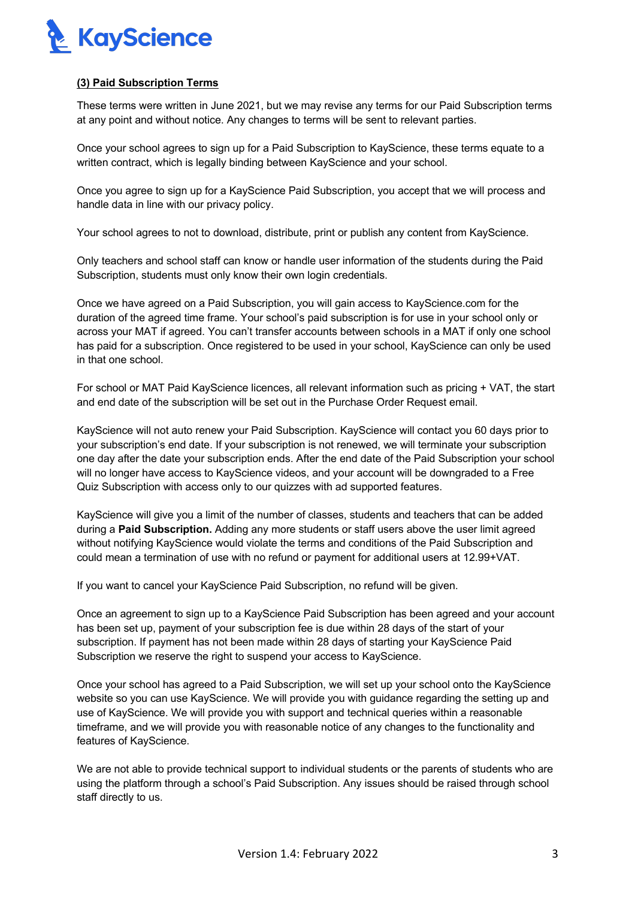

## **(3) Paid Subscription Terms**

These terms were written in June 2021, but we may revise any terms for our Paid Subscription terms at any point and without notice. Any changes to terms will be sent to relevant parties.

Once your school agrees to sign up for a Paid Subscription to KayScience, these terms equate to a written contract, which is legally binding between KayScience and your school.

Once you agree to sign up for a KayScience Paid Subscription, you accept that we will process and handle data in line with our privacy policy.

Your school agrees to not to download, distribute, print or publish any content from KayScience.

Only teachers and school staff can know or handle user information of the students during the Paid Subscription, students must only know their own login credentials.

Once we have agreed on a Paid Subscription, you will gain access to KayScience.com for the duration of the agreed time frame. Your school's paid subscription is for use in your school only or across your MAT if agreed. You can't transfer accounts between schools in a MAT if only one school has paid for a subscription. Once registered to be used in your school, KayScience can only be used in that one school.

For school or MAT Paid KayScience licences, all relevant information such as pricing + VAT, the start and end date of the subscription will be set out in the Purchase Order Request email.

KayScience will not auto renew your Paid Subscription. KayScience will contact you 60 days prior to your subscription's end date. If your subscription is not renewed, we will terminate your subscription one day after the date your subscription ends. After the end date of the Paid Subscription your school will no longer have access to KayScience videos, and your account will be downgraded to a Free Quiz Subscription with access only to our quizzes with ad supported features.

KayScience will give you a limit of the number of classes, students and teachers that can be added during a **Paid Subscription.** Adding any more students or staff users above the user limit agreed without notifying KayScience would violate the terms and conditions of the Paid Subscription and could mean a termination of use with no refund or payment for additional users at 12.99+VAT.

If you want to cancel your KayScience Paid Subscription, no refund will be given.

Once an agreement to sign up to a KayScience Paid Subscription has been agreed and your account has been set up, payment of your subscription fee is due within 28 days of the start of your subscription. If payment has not been made within 28 days of starting your KayScience Paid Subscription we reserve the right to suspend your access to KayScience.

Once your school has agreed to a Paid Subscription, we will set up your school onto the KayScience website so you can use KayScience. We will provide you with guidance regarding the setting up and use of KayScience. We will provide you with support and technical queries within a reasonable timeframe, and we will provide you with reasonable notice of any changes to the functionality and features of KayScience.

We are not able to provide technical support to individual students or the parents of students who are using the platform through a school's Paid Subscription. Any issues should be raised through school staff directly to us.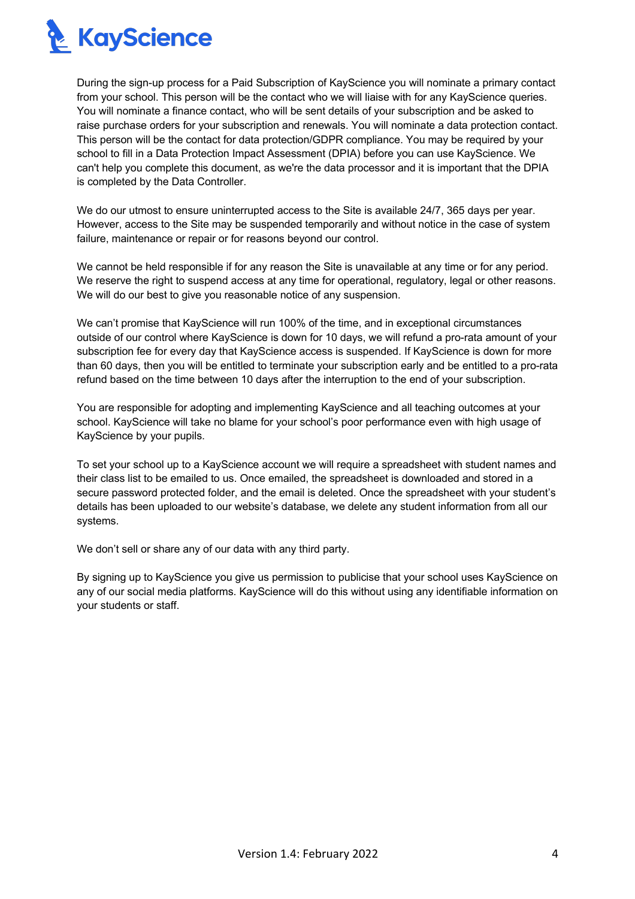

During the sign-up process for a Paid Subscription of KayScience you will nominate a primary contact from your school. This person will be the contact who we will liaise with for any KayScience queries. You will nominate a finance contact, who will be sent details of your subscription and be asked to raise purchase orders for your subscription and renewals. You will nominate a data protection contact. This person will be the contact for data protection/GDPR compliance. You may be required by your school to fill in a Data Protection Impact Assessment (DPIA) before you can use KayScience. We can't help you complete this document, as we're the data processor and it is important that the DPIA is completed by the Data Controller.

We do our utmost to ensure uninterrupted access to the Site is available 24/7, 365 days per year. However, access to the Site may be suspended temporarily and without notice in the case of system failure, maintenance or repair or for reasons beyond our control.

We cannot be held responsible if for any reason the Site is unavailable at any time or for any period. We reserve the right to suspend access at any time for operational, regulatory, legal or other reasons. We will do our best to give you reasonable notice of any suspension.

We can't promise that KayScience will run 100% of the time, and in exceptional circumstances outside of our control where KayScience is down for 10 days, we will refund a pro-rata amount of your subscription fee for every day that KayScience access is suspended. If KayScience is down for more than 60 days, then you will be entitled to terminate your subscription early and be entitled to a pro-rata refund based on the time between 10 days after the interruption to the end of your subscription.

You are responsible for adopting and implementing KayScience and all teaching outcomes at your school. KayScience will take no blame for your school's poor performance even with high usage of KayScience by your pupils.

To set your school up to a KayScience account we will require a spreadsheet with student names and their class list to be emailed to us. Once emailed, the spreadsheet is downloaded and stored in a secure password protected folder, and the email is deleted. Once the spreadsheet with your student's details has been uploaded to our website's database, we delete any student information from all our systems.

We don't sell or share any of our data with any third party.

By signing up to KayScience you give us permission to publicise that your school uses KayScience on any of our social media platforms. KayScience will do this without using any identifiable information on your students or staff.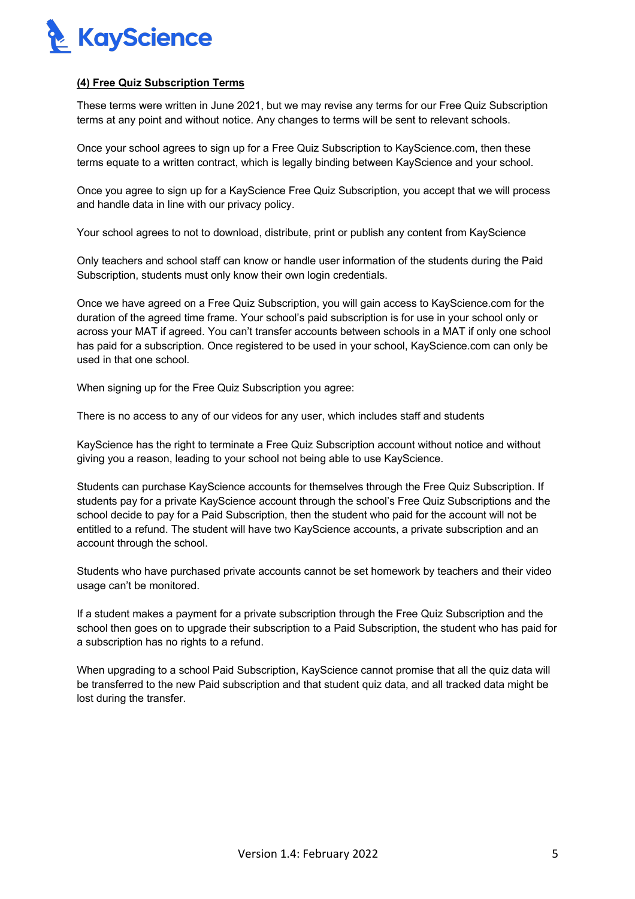

## **(4) Free Quiz Subscription Terms**

These terms were written in June 2021, but we may revise any terms for our Free Quiz Subscription terms at any point and without notice. Any changes to terms will be sent to relevant schools.

Once your school agrees to sign up for a Free Quiz Subscription to KayScience.com, then these terms equate to a written contract, which is legally binding between KayScience and your school.

Once you agree to sign up for a KayScience Free Quiz Subscription, you accept that we will process and handle data in line with our privacy policy.

Your school agrees to not to download, distribute, print or publish any content from KayScience

Only teachers and school staff can know or handle user information of the students during the Paid Subscription, students must only know their own login credentials.

Once we have agreed on a Free Quiz Subscription, you will gain access to KayScience.com for the duration of the agreed time frame. Your school's paid subscription is for use in your school only or across your MAT if agreed. You can't transfer accounts between schools in a MAT if only one school has paid for a subscription. Once registered to be used in your school, KayScience.com can only be used in that one school.

When signing up for the Free Quiz Subscription you agree:

There is no access to any of our videos for any user, which includes staff and students

KayScience has the right to terminate a Free Quiz Subscription account without notice and without giving you a reason, leading to your school not being able to use KayScience.

Students can purchase KayScience accounts for themselves through the Free Quiz Subscription. If students pay for a private KayScience account through the school's Free Quiz Subscriptions and the school decide to pay for a Paid Subscription, then the student who paid for the account will not be entitled to a refund. The student will have two KayScience accounts, a private subscription and an account through the school.

Students who have purchased private accounts cannot be set homework by teachers and their video usage can't be monitored.

If a student makes a payment for a private subscription through the Free Quiz Subscription and the school then goes on to upgrade their subscription to a Paid Subscription, the student who has paid for a subscription has no rights to a refund.

When upgrading to a school Paid Subscription, KayScience cannot promise that all the quiz data will be transferred to the new Paid subscription and that student quiz data, and all tracked data might be lost during the transfer.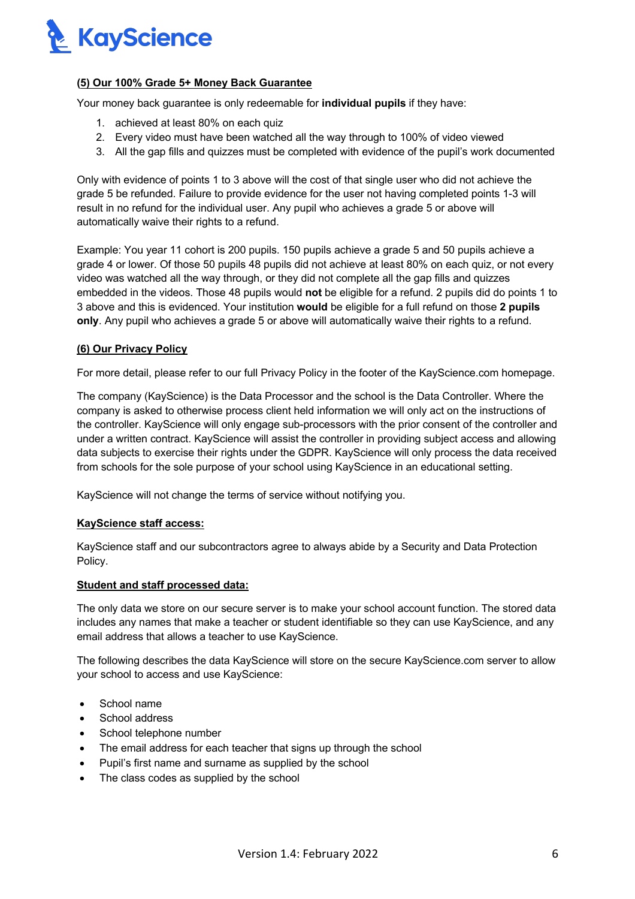

## **(5) Our 100% Grade 5+ Money Back Guarantee**

Your money back guarantee is only redeemable for **individual pupils** if they have:

- 1. achieved at least 80% on each quiz
- 2. Every video must have been watched all the way through to 100% of video viewed
- 3. All the gap fills and quizzes must be completed with evidence of the pupil's work documented

Only with evidence of points 1 to 3 above will the cost of that single user who did not achieve the grade 5 be refunded. Failure to provide evidence for the user not having completed points 1-3 will result in no refund for the individual user. Any pupil who achieves a grade 5 or above will automatically waive their rights to a refund.

Example: You year 11 cohort is 200 pupils. 150 pupils achieve a grade 5 and 50 pupils achieve a grade 4 or lower. Of those 50 pupils 48 pupils did not achieve at least 80% on each quiz, or not every video was watched all the way through, or they did not complete all the gap fills and quizzes embedded in the videos. Those 48 pupils would **not** be eligible for a refund. 2 pupils did do points 1 to 3 above and this is evidenced. Your institution **would** be eligible for a full refund on those **2 pupils only**. Any pupil who achieves a grade 5 or above will automatically waive their rights to a refund.

#### **(6) Our Privacy Policy**

For more detail, please refer to our full Privacy Policy in the footer of the KayScience.com homepage.

The company (KayScience) is the Data Processor and the school is the Data Controller. Where the company is asked to otherwise process client held information we will only act on the instructions of the controller. KayScience will only engage sub-processors with the prior consent of the controller and under a written contract. KayScience will assist the controller in providing subject access and allowing data subjects to exercise their rights under the GDPR. KayScience will only process the data received from schools for the sole purpose of your school using KayScience in an educational setting.

KayScience will not change the terms of service without notifying you.

#### **KayScience staff access:**

KayScience staff and our subcontractors agree to always abide by a Security and Data Protection Policy.

### **Student and staff processed data:**

The only data we store on our secure server is to make your school account function. The stored data includes any names that make a teacher or student identifiable so they can use KayScience, and any email address that allows a teacher to use KayScience.

The following describes the data KayScience will store on the secure KayScience.com server to allow your school to access and use KayScience:

- School name
- School address
- School telephone number
- The email address for each teacher that signs up through the school
- Pupil's first name and surname as supplied by the school
- The class codes as supplied by the school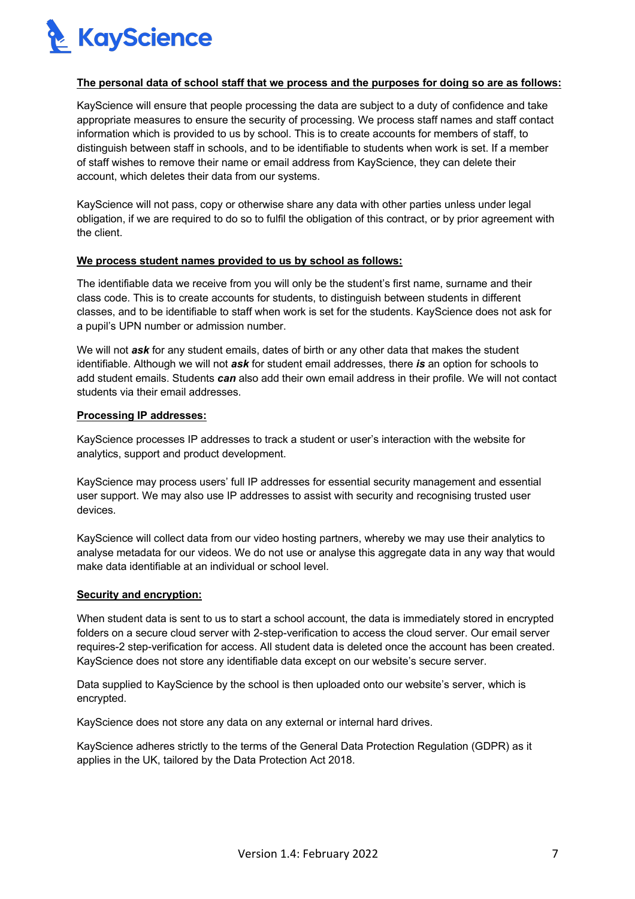

### **The personal data of school staff that we process and the purposes for doing so are as follows:**

KayScience will ensure that people processing the data are subject to a duty of confidence and take appropriate measures to ensure the security of processing. We process staff names and staff contact information which is provided to us by school. This is to create accounts for members of staff, to distinguish between staff in schools, and to be identifiable to students when work is set. If a member of staff wishes to remove their name or email address from KayScience, they can delete their account, which deletes their data from our systems.

KayScience will not pass, copy or otherwise share any data with other parties unless under legal obligation, if we are required to do so to fulfil the obligation of this contract, or by prior agreement with the client.

#### **We process student names provided to us by school as follows:**

The identifiable data we receive from you will only be the student's first name, surname and their class code. This is to create accounts for students, to distinguish between students in different classes, and to be identifiable to staff when work is set for the students. KayScience does not ask for a pupil's UPN number or admission number.

We will not *ask* for any student emails, dates of birth or any other data that makes the student identifiable. Although we will not *ask* for student email addresses, there *is* an option for schools to add student emails. Students *can* also add their own email address in their profile. We will not contact students via their email addresses.

### **Processing IP addresses:**

KayScience processes IP addresses to track a student or user's interaction with the website for analytics, support and product development.

KayScience may process users' full IP addresses for essential security management and essential user support. We may also use IP addresses to assist with security and recognising trusted user devices.

KayScience will collect data from our video hosting partners, whereby we may use their analytics to analyse metadata for our videos. We do not use or analyse this aggregate data in any way that would make data identifiable at an individual or school level.

## **Security and encryption:**

When student data is sent to us to start a school account, the data is immediately stored in encrypted folders on a secure cloud server with 2-step-verification to access the cloud server. Our email server requires-2 step-verification for access. All student data is deleted once the account has been created. KayScience does not store any identifiable data except on our website's secure server.

Data supplied to KayScience by the school is then uploaded onto our website's server, which is encrypted.

KayScience does not store any data on any external or internal hard drives.

KayScience adheres strictly to the terms of the General Data Protection Regulation (GDPR) as it applies in the UK, tailored by the Data Protection Act 2018.